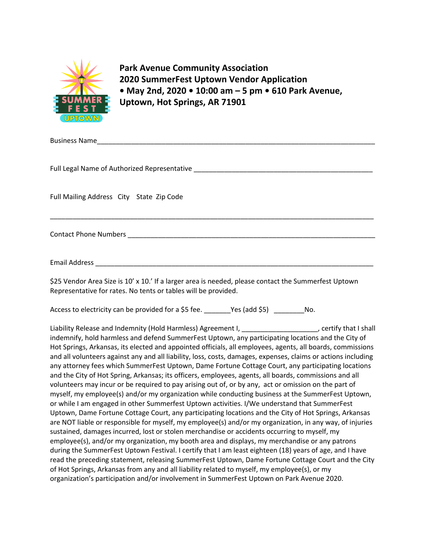

**Park Avenue Community Association 2020 SummerFest Uptown Vendor Application • May 2nd, 2020 • 10:00 am – 5 pm • 610 Park Avenue, Uptown, Hot Springs, AR 71901**

Business Name\_\_\_\_\_\_\_\_\_\_\_\_\_\_\_\_\_\_\_\_\_\_\_\_\_\_\_\_\_\_\_\_\_\_\_\_\_\_\_\_\_\_\_\_\_\_\_\_\_\_\_\_\_\_\_\_\_\_\_\_\_\_\_\_\_\_\_\_\_\_\_\_\_ Full Legal Name of Authorized Representative \_\_\_\_\_\_\_\_\_\_\_\_\_\_\_\_\_\_\_\_\_\_\_\_\_\_\_\_\_\_\_\_\_\_\_\_\_\_\_\_\_\_\_\_\_\_\_ Full Mailing Address City State Zip Code \_\_\_\_\_\_\_\_\_\_\_\_\_\_\_\_\_\_\_\_\_\_\_\_\_\_\_\_\_\_\_\_\_\_\_\_\_\_\_\_\_\_\_\_\_\_\_\_\_\_\_\_\_\_\_\_\_\_\_\_\_\_\_\_\_\_\_\_\_\_\_\_\_\_\_\_\_\_\_\_\_\_\_\_\_ Contact Phone Numbers **Example 20** and the set of the set of the set of the set of the set of the set of the set of the set of the set of the set of the set of the set of the set of the set of the set of the set of the set Email Address \_\_\_\_\_\_\_\_\_\_\_\_\_\_\_\_\_\_\_\_\_\_\_\_\_\_\_\_\_\_\_\_\_\_\_\_\_\_\_\_\_\_\_\_\_\_\_\_\_\_\_\_\_\_\_\_\_\_\_\_\_\_\_\_\_\_\_\_\_\_\_\_\_ \$25 Vendor Area Size is 10' x 10.' If a larger area is needed, please contact the Summerfest Uptown Representative for rates. No tents or tables will be provided. Access to electricity can be provided for a \$5 fee. \_\_\_\_\_\_\_\_Yes (add \$5) \_\_\_\_\_\_\_\_ No.

Liability Release and Indemnity (Hold Harmless) Agreement I, \_\_\_\_\_\_\_\_\_\_\_\_\_\_\_\_\_\_\_\_, certify that I shall indemnify, hold harmless and defend SummerFest Uptown, any participating locations and the City of Hot Springs, Arkansas, its elected and appointed officials, all employees, agents, all boards, commissions and all volunteers against any and all liability, loss, costs, damages, expenses, claims or actions including any attorney fees which SummerFest Uptown, Dame Fortune Cottage Court, any participating locations and the City of Hot Spring, Arkansas; its officers, employees, agents, all boards, commissions and all volunteers may incur or be required to pay arising out of, or by any, act or omission on the part of myself, my employee(s) and/or my organization while conducting business at the SummerFest Uptown, or while I am engaged in other Summerfest Uptown activities. I/We understand that SummerFest Uptown, Dame Fortune Cottage Court, any participating locations and the City of Hot Springs, Arkansas are NOT liable or responsible for myself, my employee(s) and/or my organization, in any way, of injuries sustained, damages incurred, lost or stolen merchandise or accidents occurring to myself, my employee(s), and/or my organization, my booth area and displays, my merchandise or any patrons during the SummerFest Uptown Festival. I certify that I am least eighteen (18) years of age, and I have read the preceding statement, releasing SummerFest Uptown, Dame Fortune Cottage Court and the City of Hot Springs, Arkansas from any and all liability related to myself, my employee(s), or my organization's participation and/or involvement in SummerFest Uptown on Park Avenue 2020.